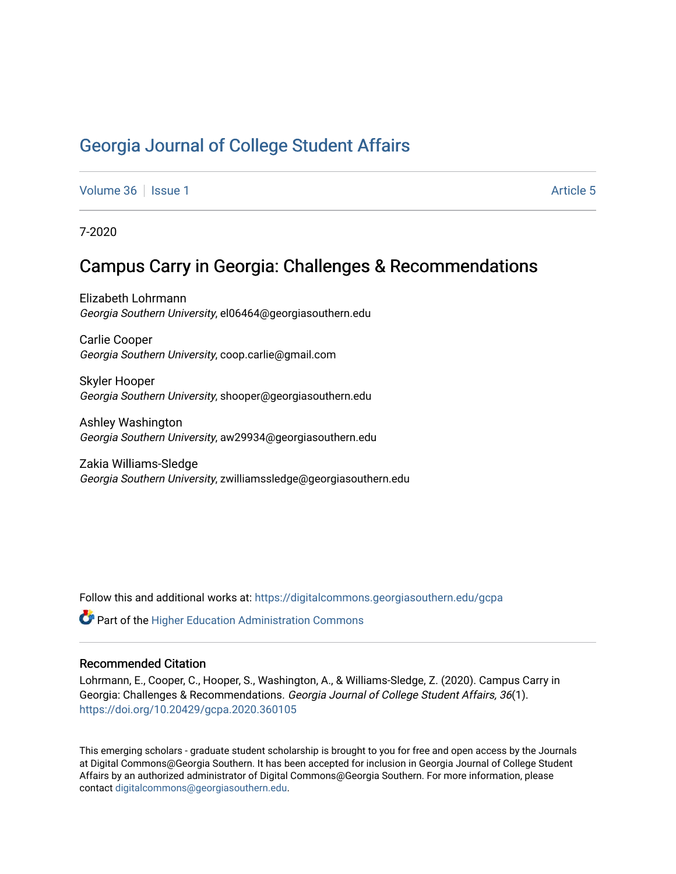## [Georgia Journal of College Student Affairs](https://digitalcommons.georgiasouthern.edu/gcpa)

[Volume 36](https://digitalcommons.georgiasouthern.edu/gcpa/vol36) | [Issue 1](https://digitalcommons.georgiasouthern.edu/gcpa/vol36/iss1) Article 5

7-2020

## Campus Carry in Georgia: Challenges & Recommendations

Elizabeth Lohrmann Georgia Southern University, el06464@georgiasouthern.edu

Carlie Cooper Georgia Southern University, coop.carlie@gmail.com

Skyler Hooper Georgia Southern University, shooper@georgiasouthern.edu

Ashley Washington Georgia Southern University, aw29934@georgiasouthern.edu

Zakia Williams-Sledge Georgia Southern University, zwilliamssledge@georgiasouthern.edu

Follow this and additional works at: [https://digitalcommons.georgiasouthern.edu/gcpa](https://digitalcommons.georgiasouthern.edu/gcpa?utm_source=digitalcommons.georgiasouthern.edu%2Fgcpa%2Fvol36%2Fiss1%2F5&utm_medium=PDF&utm_campaign=PDFCoverPages) 

 $\mathbf C^{\mathsf a}$  Part of the Higher Education Administration Commons

#### Recommended Citation

Lohrmann, E., Cooper, C., Hooper, S., Washington, A., & Williams-Sledge, Z. (2020). Campus Carry in Georgia: Challenges & Recommendations. Georgia Journal of College Student Affairs, 36(1). <https://doi.org/10.20429/gcpa.2020.360105>

This emerging scholars - graduate student scholarship is brought to you for free and open access by the Journals at Digital Commons@Georgia Southern. It has been accepted for inclusion in Georgia Journal of College Student Affairs by an authorized administrator of Digital Commons@Georgia Southern. For more information, please contact [digitalcommons@georgiasouthern.edu](mailto:digitalcommons@georgiasouthern.edu).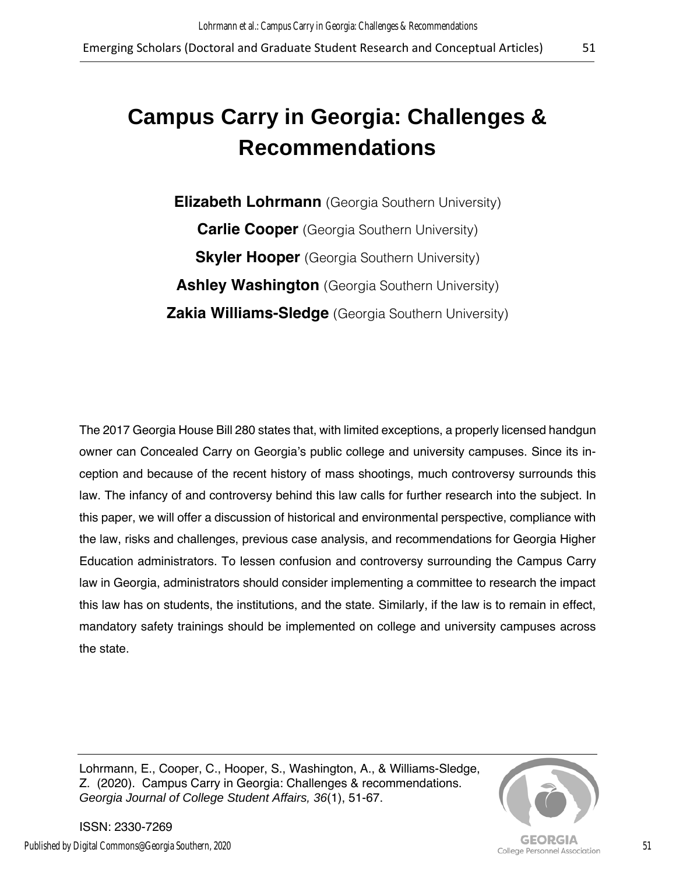# **Campus Carry in Georgia: Challenges & Recommendations**

**Elizabeth Lohrmann** (Georgia Southern University) **Carlie Cooper** (Georgia Southern University) **Skyler Hooper** (Georgia Southern University) **Ashley Washington** (Georgia Southern University) **Zakia Williams-Sledge** (Georgia Southern University)

The 2017 Georgia House Bill 280 states that, with limited exceptions, a properly licensed handgun owner can Concealed Carry on Georgia's public college and university campuses. Since its inception and because of the recent history of mass shootings, much controversy surrounds this law. The infancy of and controversy behind this law calls for further research into the subject. In this paper, we will offer a discussion of historical and environmental perspective, compliance with the law, risks and challenges, previous case analysis, and recommendations for Georgia Higher Education administrators. To lessen confusion and controversy surrounding the Campus Carry law in Georgia, administrators should consider implementing a committee to research the impact this law has on students, the institutions, and the state. Similarly, if the law is to remain in effect, mandatory safety trainings should be implemented on college and university campuses across the state.

Lohrmann, E., Cooper, C., Hooper, S., Washington, A., & Williams-Sledge, Z. (2020). Campus Carry in Georgia: Challenges & recommendations. *Georgia Journal of College Student Affairs, 36*(1), 51-67.



ISSN: 2330-7269 Published by Digital Commons@Georgia Southern, 2020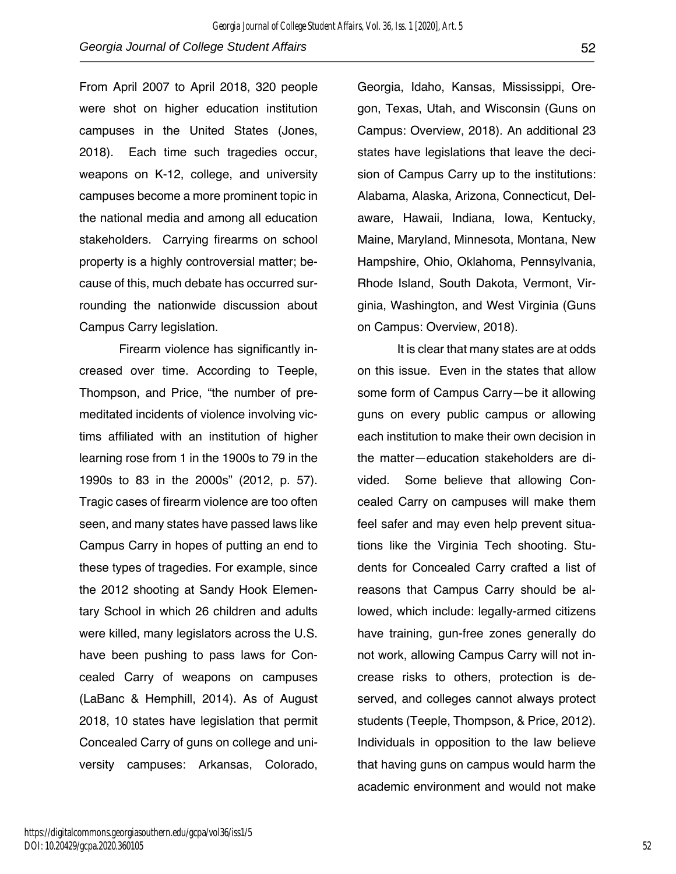From April 2007 to April 2018, 320 people were shot on higher education institution campuses in the United States (Jones, 2018). Each time such tragedies occur, weapons on K-12, college, and university campuses become a more prominent topic in the national media and among all education stakeholders. Carrying firearms on school property is a highly controversial matter; because of this, much debate has occurred surrounding the nationwide discussion about Campus Carry legislation.

Firearm violence has significantly increased over time. According to Teeple, Thompson, and Price, "the number of premeditated incidents of violence involving victims affiliated with an institution of higher learning rose from 1 in the 1900s to 79 in the 1990s to 83 in the 2000s" (2012, p. 57). Tragic cases of firearm violence are too often seen, and many states have passed laws like Campus Carry in hopes of putting an end to these types of tragedies. For example, since the 2012 shooting at Sandy Hook Elementary School in which 26 children and adults were killed, many legislators across the U.S. have been pushing to pass laws for Concealed Carry of weapons on campuses (LaBanc & Hemphill, 2014). As of August 2018, 10 states have legislation that permit Concealed Carry of guns on college and university campuses: Arkansas, Colorado,

https://digitalcommons.georgiasouthern.edu/gcpa/vol36/iss1/5 DOI: 10.20429/gcpa.2020.360105

Georgia, Idaho, Kansas, Mississippi, Oregon, Texas, Utah, and Wisconsin (Guns on Campus: Overview, 2018). An additional 23 states have legislations that leave the decision of Campus Carry up to the institutions: Alabama, Alaska, Arizona, Connecticut, Delaware, Hawaii, Indiana, Iowa, Kentucky, Maine, Maryland, Minnesota, Montana, New Hampshire, Ohio, Oklahoma, Pennsylvania, Rhode Island, South Dakota, Vermont, Virginia, Washington, and West Virginia (Guns on Campus: Overview, 2018).

It is clear that many states are at odds on this issue. Even in the states that allow some form of Campus Carry—be it allowing guns on every public campus or allowing each institution to make their own decision in the matter—education stakeholders are divided. Some believe that allowing Concealed Carry on campuses will make them feel safer and may even help prevent situations like the Virginia Tech shooting. Students for Concealed Carry crafted a list of reasons that Campus Carry should be allowed, which include: legally-armed citizens have training, gun-free zones generally do not work, allowing Campus Carry will not increase risks to others, protection is deserved, and colleges cannot always protect students (Teeple, Thompson, & Price, 2012). Individuals in opposition to the law believe that having guns on campus would harm the academic environment and would not make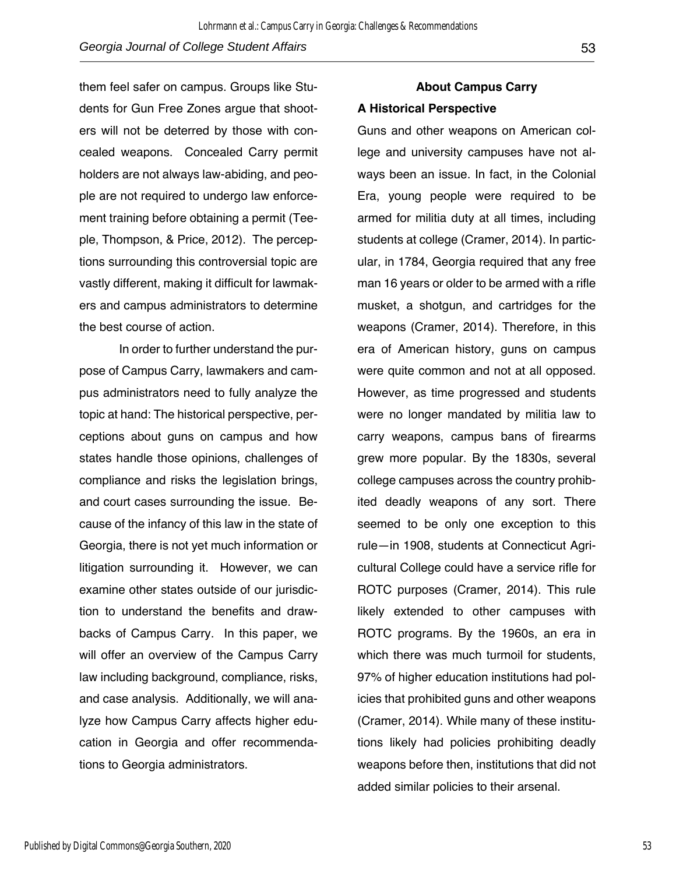them feel safer on campus. Groups like Students for Gun Free Zones argue that shooters will not be deterred by those with concealed weapons. Concealed Carry permit holders are not always law-abiding, and people are not required to undergo law enforcement training before obtaining a permit (Teeple, Thompson, & Price, 2012). The perceptions surrounding this controversial topic are

vastly different, making it difficult for lawmakers and campus administrators to determine the best course of action.

In order to further understand the purpose of Campus Carry, lawmakers and campus administrators need to fully analyze the topic at hand: The historical perspective, perceptions about guns on campus and how states handle those opinions, challenges of compliance and risks the legislation brings, and court cases surrounding the issue. Because of the infancy of this law in the state of Georgia, there is not yet much information or litigation surrounding it. However, we can examine other states outside of our jurisdiction to understand the benefits and drawbacks of Campus Carry. In this paper, we will offer an overview of the Campus Carry law including background, compliance, risks, and case analysis. Additionally, we will analyze how Campus Carry affects higher education in Georgia and offer recommendations to Georgia administrators.

### **About Campus Carry A Historical Perspective**

Guns and other weapons on American college and university campuses have not always been an issue. In fact, in the Colonial Era, young people were required to be armed for militia duty at all times, including students at college (Cramer, 2014). In particular, in 1784, Georgia required that any free man 16 years or older to be armed with a rifle musket, a shotgun, and cartridges for the weapons (Cramer, 2014). Therefore, in this era of American history, guns on campus were quite common and not at all opposed. However, as time progressed and students were no longer mandated by militia law to carry weapons, campus bans of firearms grew more popular. By the 1830s, several college campuses across the country prohibited deadly weapons of any sort. There seemed to be only one exception to this rule—in 1908, students at Connecticut Agricultural College could have a service rifle for ROTC purposes (Cramer, 2014). This rule likely extended to other campuses with ROTC programs. By the 1960s, an era in which there was much turmoil for students, 97% of higher education institutions had policies that prohibited guns and other weapons (Cramer, 2014). While many of these institutions likely had policies prohibiting deadly weapons before then, institutions that did not added similar policies to their arsenal.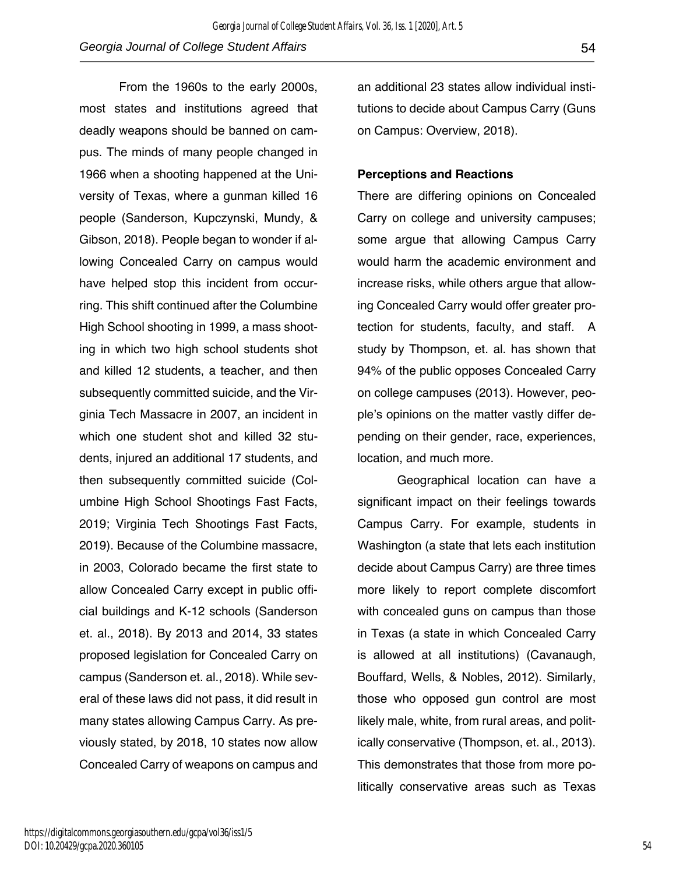From the 1960s to the early 2000s, most states and institutions agreed that deadly weapons should be banned on campus. The minds of many people changed in 1966 when a shooting happened at the University of Texas, where a gunman killed 16 people (Sanderson, Kupczynski, Mundy, & Gibson, 2018). People began to wonder if allowing Concealed Carry on campus would have helped stop this incident from occurring. This shift continued after the Columbine High School shooting in 1999, a mass shooting in which two high school students shot and killed 12 students, a teacher, and then subsequently committed suicide, and the Virginia Tech Massacre in 2007, an incident in which one student shot and killed 32 students, injured an additional 17 students, and then subsequently committed suicide (Columbine High School Shootings Fast Facts, 2019; Virginia Tech Shootings Fast Facts, 2019). Because of the Columbine massacre, in 2003, Colorado became the first state to allow Concealed Carry except in public official buildings and K-12 schools (Sanderson et. al., 2018). By 2013 and 2014, 33 states proposed legislation for Concealed Carry on campus (Sanderson et. al., 2018). While several of these laws did not pass, it did result in many states allowing Campus Carry. As previously stated, by 2018, 10 states now allow Concealed Carry of weapons on campus and

an additional 23 states allow individual institutions to decide about Campus Carry (Guns on Campus: Overview, 2018).

#### **Perceptions and Reactions**

There are differing opinions on Concealed Carry on college and university campuses; some argue that allowing Campus Carry would harm the academic environment and increase risks, while others argue that allowing Concealed Carry would offer greater protection for students, faculty, and staff. A study by Thompson, et. al. has shown that 94% of the public opposes Concealed Carry on college campuses (2013). However, people's opinions on the matter vastly differ depending on their gender, race, experiences, location, and much more.

Geographical location can have a significant impact on their feelings towards Campus Carry. For example, students in Washington (a state that lets each institution decide about Campus Carry) are three times more likely to report complete discomfort with concealed guns on campus than those in Texas (a state in which Concealed Carry is allowed at all institutions) (Cavanaugh, Bouffard, Wells, & Nobles, 2012). Similarly, those who opposed gun control are most likely male, white, from rural areas, and politically conservative (Thompson, et. al., 2013). This demonstrates that those from more politically conservative areas such as Texas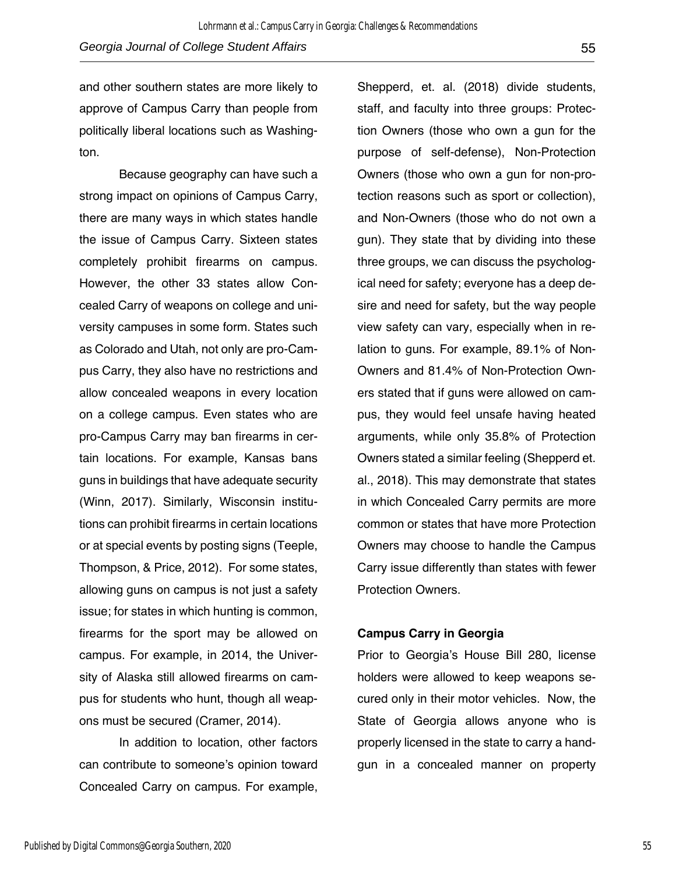and other southern states are more likely to approve of Campus Carry than people from politically liberal locations such as Washington.

Because geography can have such a strong impact on opinions of Campus Carry, there are many ways in which states handle the issue of Campus Carry. Sixteen states completely prohibit firearms on campus. However, the other 33 states allow Concealed Carry of weapons on college and university campuses in some form. States such as Colorado and Utah, not only are pro-Campus Carry, they also have no restrictions and allow concealed weapons in every location on a college campus. Even states who are pro-Campus Carry may ban firearms in certain locations. For example, Kansas bans guns in buildings that have adequate security (Winn, 2017). Similarly, Wisconsin institutions can prohibit firearms in certain locations or at special events by posting signs (Teeple, Thompson, & Price, 2012). For some states, allowing guns on campus is not just a safety issue; for states in which hunting is common, firearms for the sport may be allowed on campus. For example, in 2014, the University of Alaska still allowed firearms on campus for students who hunt, though all weapons must be secured (Cramer, 2014).

In addition to location, other factors can contribute to someone's opinion toward Concealed Carry on campus. For example,

Shepperd, et. al. (2018) divide students, staff, and faculty into three groups: Protection Owners (those who own a gun for the purpose of self-defense), Non-Protection Owners (those who own a gun for non-protection reasons such as sport or collection), and Non-Owners (those who do not own a gun). They state that by dividing into these three groups, we can discuss the psychological need for safety; everyone has a deep desire and need for safety, but the way people view safety can vary, especially when in relation to guns. For example, 89.1% of Non-Owners and 81.4% of Non-Protection Owners stated that if guns were allowed on campus, they would feel unsafe having heated arguments, while only 35.8% of Protection Owners stated a similar feeling (Shepperd et. al., 2018). This may demonstrate that states in which Concealed Carry permits are more common or states that have more Protection Owners may choose to handle the Campus Carry issue differently than states with fewer Protection Owners.

#### **Campus Carry in Georgia**

Prior to Georgia's House Bill 280, license holders were allowed to keep weapons secured only in their motor vehicles. Now, the State of Georgia allows anyone who is properly licensed in the state to carry a handgun in a concealed manner on property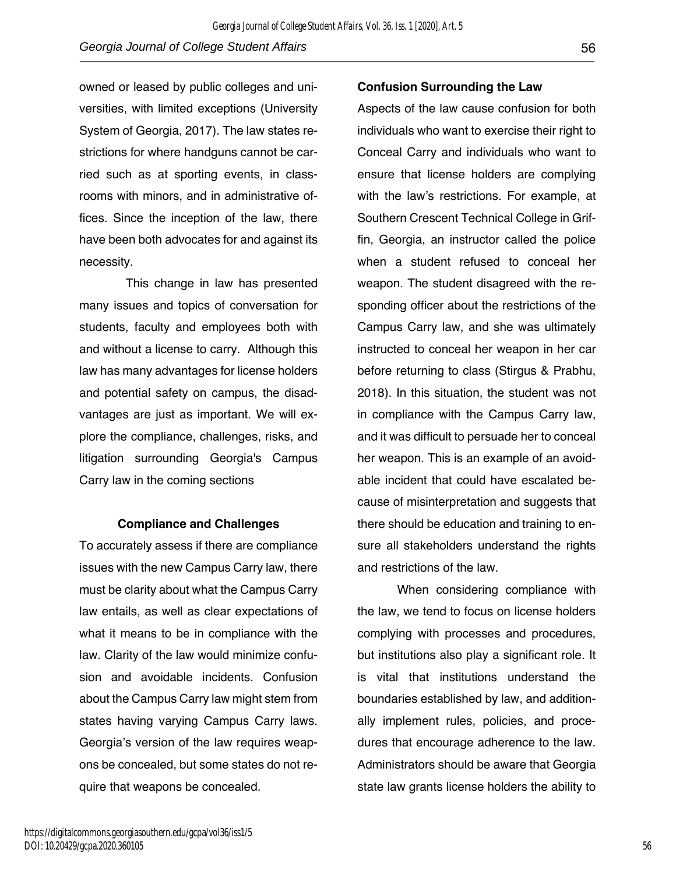owned or leased by public colleges and universities, with limited exceptions (University System of Georgia, 2017). The law states restrictions for where handguns cannot be carried such as at sporting events, in classrooms with minors, and in administrative offices. Since the inception of the law, there have been both advocates for and against its necessity.

 This change in law has presented many issues and topics of conversation for students, faculty and employees both with and without a license to carry. Although this law has many advantages for license holders and potential safety on campus, the disadvantages are just as important. We will explore the compliance, challenges, risks, and litigation surrounding Georgia's Campus Carry law in the coming sections

#### **Compliance and Challenges**

To accurately assess if there are compliance issues with the new Campus Carry law, there must be clarity about what the Campus Carry law entails, as well as clear expectations of what it means to be in compliance with the law. Clarity of the law would minimize confusion and avoidable incidents. Confusion about the Campus Carry law might stem from states having varying Campus Carry laws. Georgia's version of the law requires weapons be concealed, but some states do not require that weapons be concealed.

#### **Confusion Surrounding the Law**

Aspects of the law cause confusion for both individuals who want to exercise their right to Conceal Carry and individuals who want to ensure that license holders are complying with the law's restrictions. For example, at Southern Crescent Technical College in Griffin, Georgia, an instructor called the police when a student refused to conceal her weapon. The student disagreed with the responding officer about the restrictions of the Campus Carry law, and she was ultimately instructed to conceal her weapon in her car before returning to class (Stirgus & Prabhu, 2018). In this situation, the student was not in compliance with the Campus Carry law, and it was difficult to persuade her to conceal her weapon. This is an example of an avoidable incident that could have escalated because of misinterpretation and suggests that there should be education and training to ensure all stakeholders understand the rights and restrictions of the law.

When considering compliance with the law, we tend to focus on license holders complying with processes and procedures, but institutions also play a significant role. It is vital that institutions understand the boundaries established by law, and additionally implement rules, policies, and procedures that encourage adherence to the law. Administrators should be aware that Georgia state law grants license holders the ability to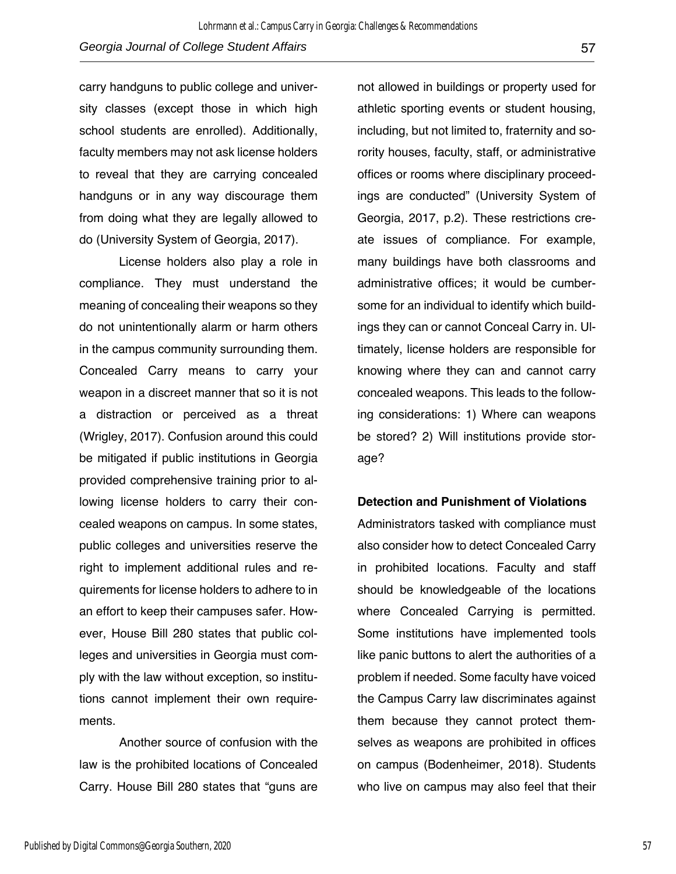carry handguns to public college and university classes (except those in which high school students are enrolled). Additionally, faculty members may not ask license holders to reveal that they are carrying concealed handguns or in any way discourage them from doing what they are legally allowed to do (University System of Georgia, 2017).

License holders also play a role in compliance. They must understand the meaning of concealing their weapons so they do not unintentionally alarm or harm others in the campus community surrounding them. Concealed Carry means to carry your weapon in a discreet manner that so it is not a distraction or perceived as a threat (Wrigley, 2017). Confusion around this could be mitigated if public institutions in Georgia provided comprehensive training prior to allowing license holders to carry their concealed weapons on campus. In some states, public colleges and universities reserve the right to implement additional rules and requirements for license holders to adhere to in an effort to keep their campuses safer. However, House Bill 280 states that public colleges and universities in Georgia must comply with the law without exception, so institutions cannot implement their own requirements.

 Another source of confusion with the law is the prohibited locations of Concealed Carry. House Bill 280 states that "guns are not allowed in buildings or property used for athletic sporting events or student housing, including, but not limited to, fraternity and sorority houses, faculty, staff, or administrative offices or rooms where disciplinary proceedings are conducted" (University System of Georgia, 2017, p.2). These restrictions create issues of compliance. For example, many buildings have both classrooms and administrative offices; it would be cumbersome for an individual to identify which buildings they can or cannot Conceal Carry in. Ultimately, license holders are responsible for knowing where they can and cannot carry concealed weapons. This leads to the following considerations: 1) Where can weapons be stored? 2) Will institutions provide storage?

#### **Detection and Punishment of Violations**

Administrators tasked with compliance must also consider how to detect Concealed Carry in prohibited locations. Faculty and staff should be knowledgeable of the locations where Concealed Carrying is permitted. Some institutions have implemented tools like panic buttons to alert the authorities of a problem if needed. Some faculty have voiced the Campus Carry law discriminates against them because they cannot protect themselves as weapons are prohibited in offices on campus (Bodenheimer, 2018). Students who live on campus may also feel that their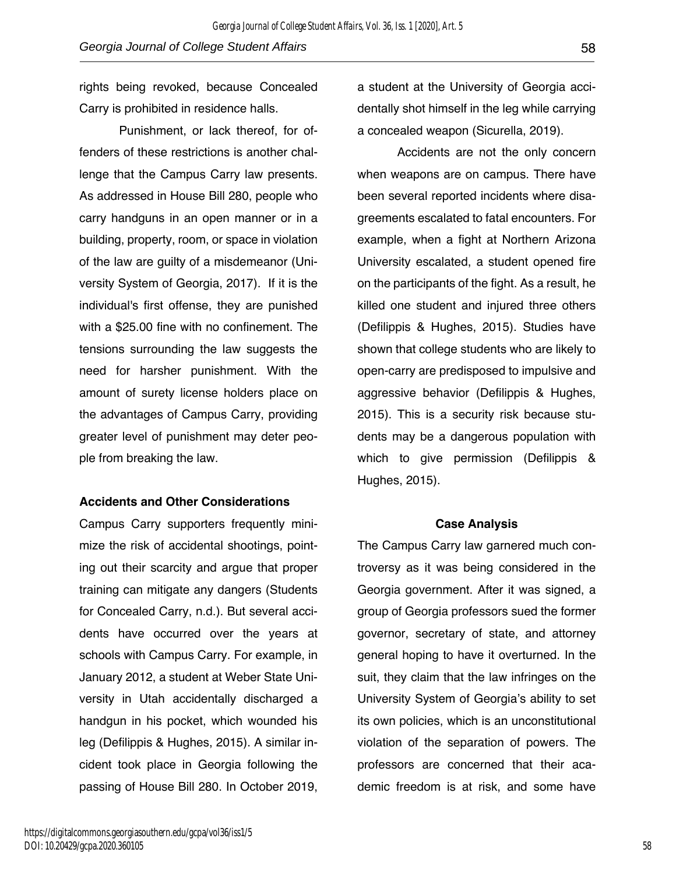rights being revoked, because Concealed Carry is prohibited in residence halls.

Punishment, or lack thereof, for offenders of these restrictions is another challenge that the Campus Carry law presents. As addressed in House Bill 280, people who carry handguns in an open manner or in a building, property, room, or space in violation of the law are guilty of a misdemeanor (University System of Georgia, 2017). If it is the individual's first offense, they are punished with a \$25.00 fine with no confinement. The tensions surrounding the law suggests the need for harsher punishment. With the amount of surety license holders place on the advantages of Campus Carry, providing greater level of punishment may deter people from breaking the law.

#### **Accidents and Other Considerations**

Campus Carry supporters frequently minimize the risk of accidental shootings, pointing out their scarcity and argue that proper training can mitigate any dangers (Students for Concealed Carry, n.d.). But several accidents have occurred over the years at schools with Campus Carry. For example, in January 2012, a student at Weber State University in Utah accidentally discharged a handgun in his pocket, which wounded his leg (Defilippis & Hughes, 2015). A similar incident took place in Georgia following the passing of House Bill 280. In October 2019, a student at the University of Georgia accidentally shot himself in the leg while carrying a concealed weapon (Sicurella, 2019).

Accidents are not the only concern when weapons are on campus. There have been several reported incidents where disagreements escalated to fatal encounters. For example, when a fight at Northern Arizona University escalated, a student opened fire on the participants of the fight. As a result, he killed one student and injured three others (Defilippis & Hughes, 2015). Studies have shown that college students who are likely to open-carry are predisposed to impulsive and aggressive behavior (Defilippis & Hughes, 2015). This is a security risk because students may be a dangerous population with which to give permission (Defilippis & Hughes, 2015).

#### **Case Analysis**

The Campus Carry law garnered much controversy as it was being considered in the Georgia government. After it was signed, a group of Georgia professors sued the former governor, secretary of state, and attorney general hoping to have it overturned. In the suit, they claim that the law infringes on the University System of Georgia's ability to set its own policies, which is an unconstitutional violation of the separation of powers. The professors are concerned that their academic freedom is at risk, and some have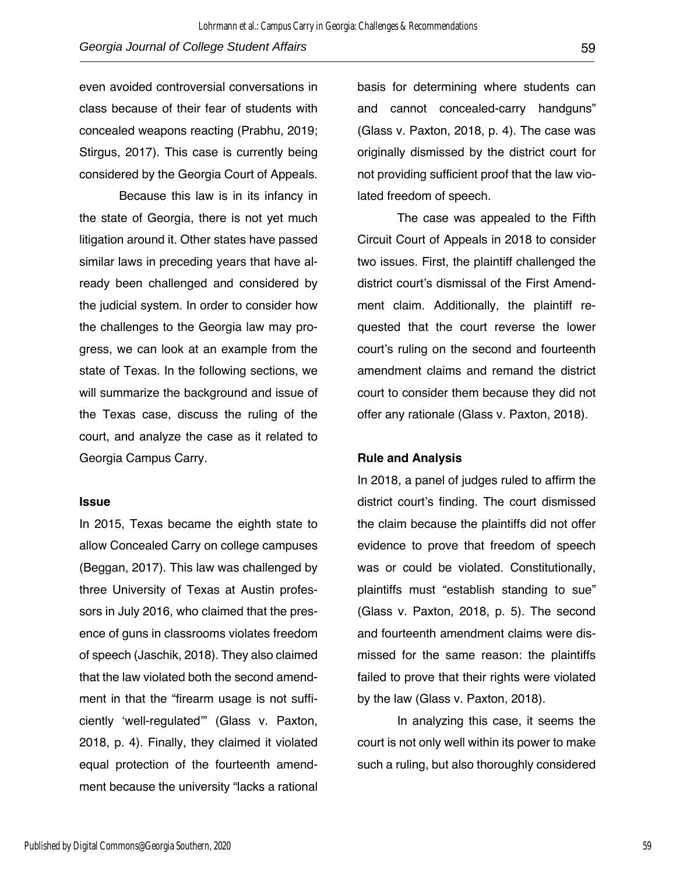even avoided controversial conversations in class because of their fear of students with concealed weapons reacting (Prabhu, 2019; Stirgus, 2017). This case is currently being considered by the Georgia Court of Appeals.

Because this law is in its infancy in the state of Georgia, there is not yet much litigation around it. Other states have passed similar laws in preceding years that have already been challenged and considered by the judicial system. In order to consider how the challenges to the Georgia law may progress, we can look at an example from the state of Texas. In the following sections, we will summarize the background and issue of the Texas case, discuss the ruling of the court, and analyze the case as it related to Georgia Campus Carry.

#### **Issue**

In 2015, Texas became the eighth state to allow Concealed Carry on college campuses (Beggan, 2017). This law was challenged by three University of Texas at Austin professors in July 2016, who claimed that the presence of guns in classrooms violates freedom of speech (Jaschik, 2018). They also claimed that the law violated both the second amendment in that the "firearm usage is not sufficiently 'well-regulated'" (Glass v. Paxton, 2018, p. 4). Finally, they claimed it violated equal protection of the fourteenth amendment because the university "lacks a rational

basis for determining where students can and cannot concealed-carry handguns" (Glass v. Paxton, 2018, p. 4). The case was originally dismissed by the district court for not providing sufficient proof that the law violated freedom of speech.

The case was appealed to the Fifth Circuit Court of Appeals in 2018 to consider two issues. First, the plaintiff challenged the district court's dismissal of the First Amendment claim. Additionally, the plaintiff requested that the court reverse the lower court's ruling on the second and fourteenth amendment claims and remand the district court to consider them because they did not offer any rationale (Glass v. Paxton, 2018).

#### **Rule and Analysis**

In 2018, a panel of judges ruled to affirm the district court's finding. The court dismissed the claim because the plaintiffs did not offer evidence to prove that freedom of speech was or could be violated. Constitutionally, plaintiffs must "establish standing to sue" (Glass v. Paxton, 2018, p. 5). The second and fourteenth amendment claims were dismissed for the same reason: the plaintiffs failed to prove that their rights were violated by the law (Glass v. Paxton, 2018).

In analyzing this case, it seems the court is not only well within its power to make such a ruling, but also thoroughly considered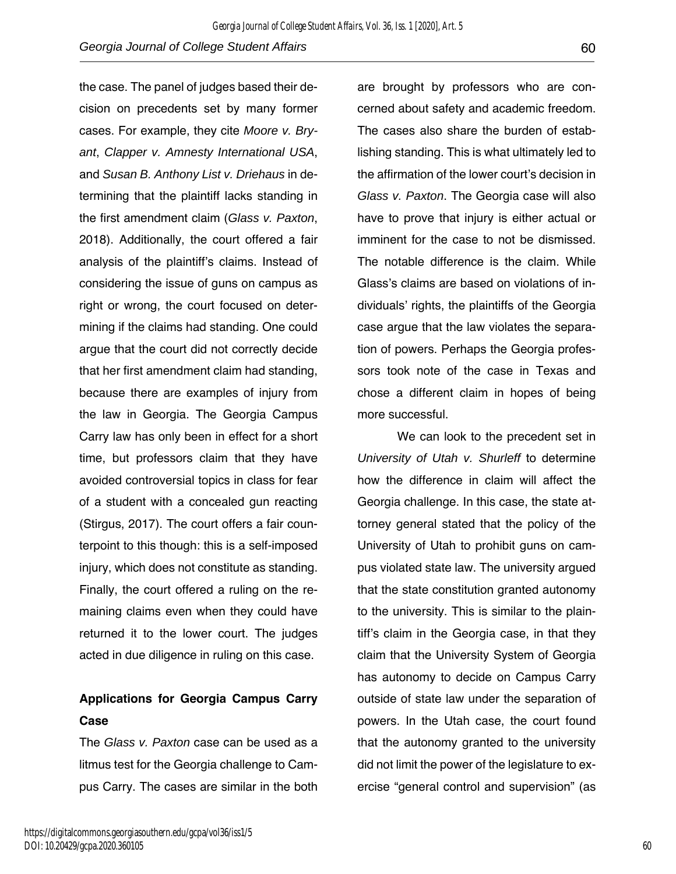the case. The panel of judges based their decision on precedents set by many former cases. For example, they cite *Moore v. Bryant*, *Clapper v. Amnesty International USA*, and *Susan B. Anthony List v. Driehaus* in determining that the plaintiff lacks standing in the first amendment claim (*Glass v. Paxton*, 2018). Additionally, the court offered a fair analysis of the plaintiff's claims. Instead of considering the issue of guns on campus as right or wrong, the court focused on determining if the claims had standing. One could argue that the court did not correctly decide that her first amendment claim had standing, because there are examples of injury from the law in Georgia. The Georgia Campus Carry law has only been in effect for a short time, but professors claim that they have avoided controversial topics in class for fear of a student with a concealed gun reacting (Stirgus, 2017). The court offers a fair counterpoint to this though: this is a self-imposed injury, which does not constitute as standing. Finally, the court offered a ruling on the remaining claims even when they could have returned it to the lower court. The judges acted in due diligence in ruling on this case.

# **Applications for Georgia Campus Carry Case**

The *Glass v. Paxton* case can be used as a litmus test for the Georgia challenge to Campus Carry. The cases are similar in the both are brought by professors who are concerned about safety and academic freedom. The cases also share the burden of establishing standing. This is what ultimately led to the affirmation of the lower court's decision in *Glass v. Paxton*. The Georgia case will also have to prove that injury is either actual or imminent for the case to not be dismissed. The notable difference is the claim. While Glass's claims are based on violations of individuals' rights, the plaintiffs of the Georgia case argue that the law violates the separation of powers. Perhaps the Georgia professors took note of the case in Texas and chose a different claim in hopes of being more successful.

We can look to the precedent set in *University of Utah v. Shurleff* to determine how the difference in claim will affect the Georgia challenge. In this case, the state attorney general stated that the policy of the University of Utah to prohibit guns on campus violated state law. The university argued that the state constitution granted autonomy to the university. This is similar to the plaintiff's claim in the Georgia case, in that they claim that the University System of Georgia has autonomy to decide on Campus Carry outside of state law under the separation of powers. In the Utah case, the court found that the autonomy granted to the university did not limit the power of the legislature to exercise "general control and supervision" (as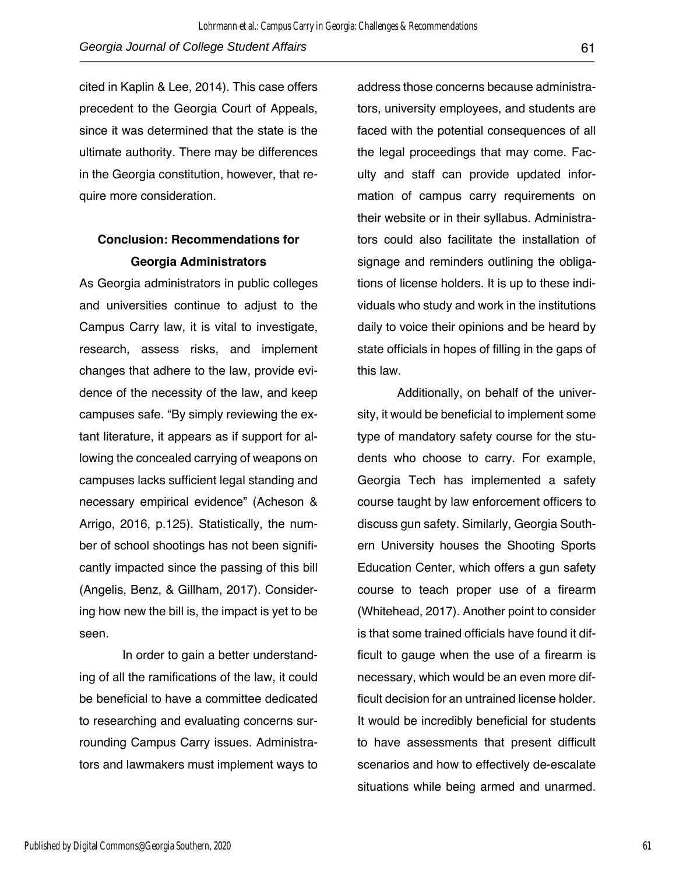cited in Kaplin & Lee, 2014). This case offers precedent to the Georgia Court of Appeals, since it was determined that the state is the ultimate authority. There may be differences in the Georgia constitution, however, that require more consideration.

## **Conclusion: Recommendations for Georgia Administrators**

As Georgia administrators in public colleges and universities continue to adjust to the Campus Carry law, it is vital to investigate, research, assess risks, and implement changes that adhere to the law, provide evidence of the necessity of the law, and keep campuses safe. "By simply reviewing the extant literature, it appears as if support for allowing the concealed carrying of weapons on campuses lacks sufficient legal standing and necessary empirical evidence" (Acheson & Arrigo, 2016, p.125). Statistically, the number of school shootings has not been significantly impacted since the passing of this bill (Angelis, Benz, & Gillham, 2017). Considering how new the bill is, the impact is yet to be seen.

In order to gain a better understanding of all the ramifications of the law, it could be beneficial to have a committee dedicated to researching and evaluating concerns surrounding Campus Carry issues. Administrators and lawmakers must implement ways to

address those concerns because administrators, university employees, and students are faced with the potential consequences of all the legal proceedings that may come. Faculty and staff can provide updated information of campus carry requirements on their website or in their syllabus. Administrators could also facilitate the installation of signage and reminders outlining the obligations of license holders. It is up to these individuals who study and work in the institutions daily to voice their opinions and be heard by state officials in hopes of filling in the gaps of this law.

Additionally, on behalf of the university, it would be beneficial to implement some type of mandatory safety course for the students who choose to carry. For example, Georgia Tech has implemented a safety course taught by law enforcement officers to discuss gun safety. Similarly, Georgia Southern University houses the Shooting Sports Education Center, which offers a gun safety course to teach proper use of a firearm (Whitehead, 2017). Another point to consider is that some trained officials have found it difficult to gauge when the use of a firearm is necessary, which would be an even more difficult decision for an untrained license holder. It would be incredibly beneficial for students to have assessments that present difficult scenarios and how to effectively de-escalate situations while being armed and unarmed.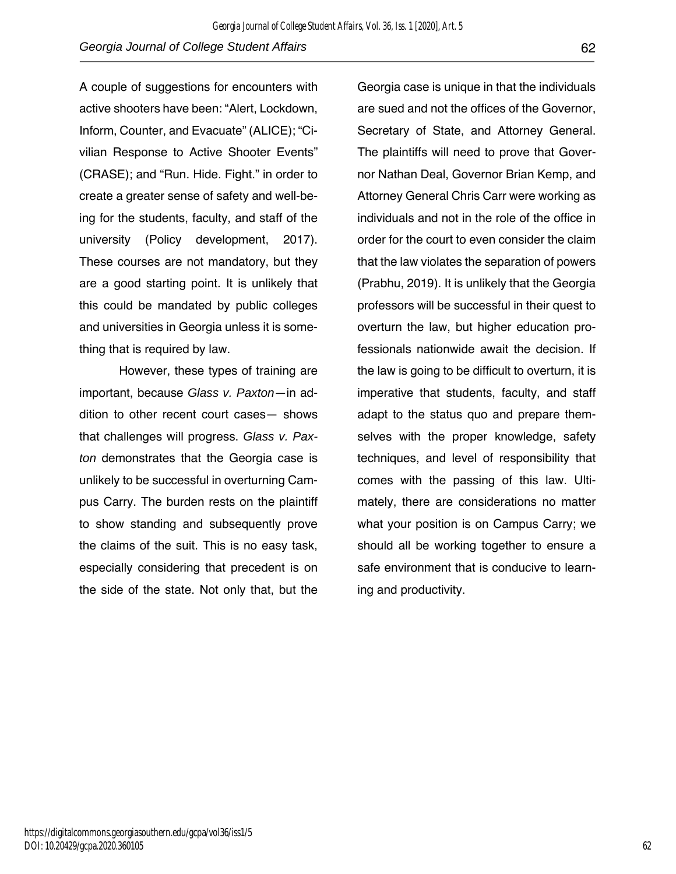A couple of suggestions for encounters with active shooters have been: "Alert, Lockdown, Inform, Counter, and Evacuate" (ALICE); "Civilian Response to Active Shooter Events" (CRASE); and "Run. Hide. Fight." in order to create a greater sense of safety and well-being for the students, faculty, and staff of the university (Policy development, 2017). These courses are not mandatory, but they are a good starting point. It is unlikely that this could be mandated by public colleges and universities in Georgia unless it is something that is required by law.

However, these types of training are important, because *Glass v. Paxton*—in addition to other recent court cases— shows that challenges will progress. *Glass v. Paxton* demonstrates that the Georgia case is unlikely to be successful in overturning Campus Carry. The burden rests on the plaintiff to show standing and subsequently prove the claims of the suit. This is no easy task, especially considering that precedent is on the side of the state. Not only that, but the

Georgia case is unique in that the individuals are sued and not the offices of the Governor, Secretary of State, and Attorney General. The plaintiffs will need to prove that Governor Nathan Deal, Governor Brian Kemp, and Attorney General Chris Carr were working as individuals and not in the role of the office in order for the court to even consider the claim that the law violates the separation of powers (Prabhu, 2019). It is unlikely that the Georgia professors will be successful in their quest to overturn the law, but higher education professionals nationwide await the decision. If the law is going to be difficult to overturn, it is imperative that students, faculty, and staff adapt to the status quo and prepare themselves with the proper knowledge, safety techniques, and level of responsibility that comes with the passing of this law. Ultimately, there are considerations no matter what your position is on Campus Carry; we should all be working together to ensure a safe environment that is conducive to learning and productivity.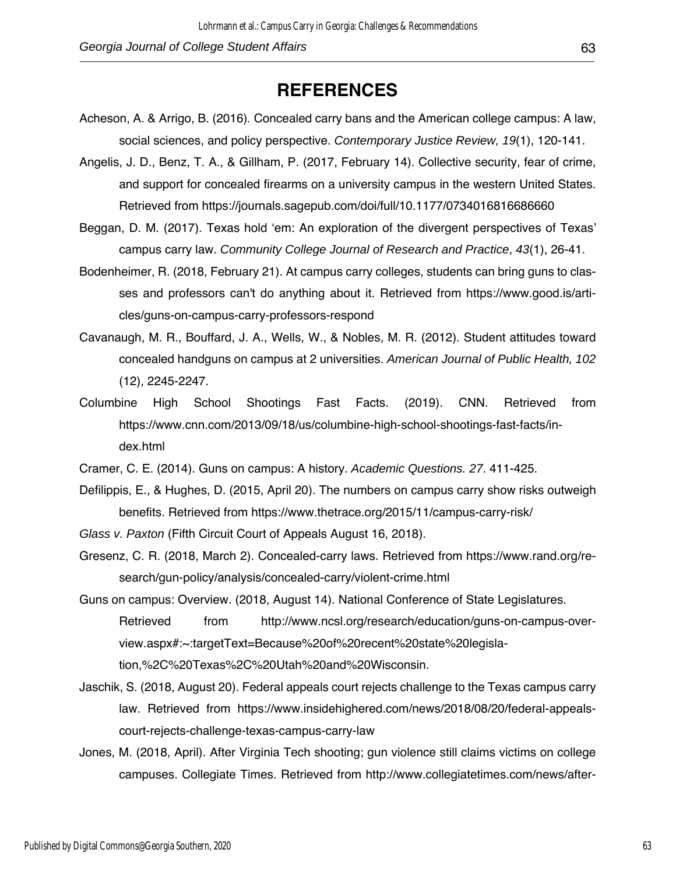# **REFERENCES**

- Acheson, A. & Arrigo, B. (2016)*.* Concealed carry bans and the American college campus: A law, social sciences, and policy perspective. *Contemporary Justice Review, 19*(1), 120-141.
- Angelis, J. D., Benz, T. A., & Gillham, P. (2017, February 14). Collective security, fear of crime, and support for concealed firearms on a university campus in the western United States. Retrieved from https://journals.sagepub.com/doi/full/10.1177/0734016816686660
- Beggan, D. M. (2017). Texas hold 'em: An exploration of the divergent perspectives of Texas' campus carry law. *Community College Journal of Research and Practice*, *43*(1), 26-41.
- Bodenheimer, R. (2018, February 21). At campus carry colleges, students can bring guns to classes and professors can't do anything about it. Retrieved from https://www.good.is/articles/guns-on-campus-carry-professors-respond
- Cavanaugh, M. R., Bouffard, J. A., Wells, W., & Nobles, M. R. (2012). Student attitudes toward concealed handguns on campus at 2 universities. *American Journal of Public Health, 102*  (12), 2245-2247.
- Columbine High School Shootings Fast Facts. (2019). CNN. Retrieved from https://www.cnn.com/2013/09/18/us/columbine-high-school-shootings-fast-facts/index.html
- Cramer, C. E. (2014). Guns on campus: A history. *Academic Questions. 27*. 411-425.
- Defilippis, E., & Hughes, D. (2015, April 20). The numbers on campus carry show risks outweigh benefits. Retrieved from https://www.thetrace.org/2015/11/campus-carry-risk/
- *Glass v. Paxton* (Fifth Circuit Court of Appeals August 16, 2018).
- Gresenz, C. R. (2018, March 2). Concealed-carry laws. Retrieved from https://www.rand.org/research/gun-policy/analysis/concealed-carry/violent-crime.html
- Guns on campus: Overview. (2018, August 14). National Conference of State Legislatures. Retrieved from http://www.ncsl.org/research/education/guns-on-campus-overview.aspx#:~:targetText=Because%20of%20recent%20state%20legislation,%2C%20Texas%2C%20Utah%20and%20Wisconsin.
- Jaschik, S. (2018, August 20). Federal appeals court rejects challenge to the Texas campus carry law. Retrieved from https://www.insidehighered.com/news/2018/08/20/federal-appealscourt-rejects-challenge-texas-campus-carry-law
- Jones, M. (2018, April). After Virginia Tech shooting; gun violence still claims victims on college campuses. Collegiate Times. Retrieved from http://www.collegiatetimes.com/news/after-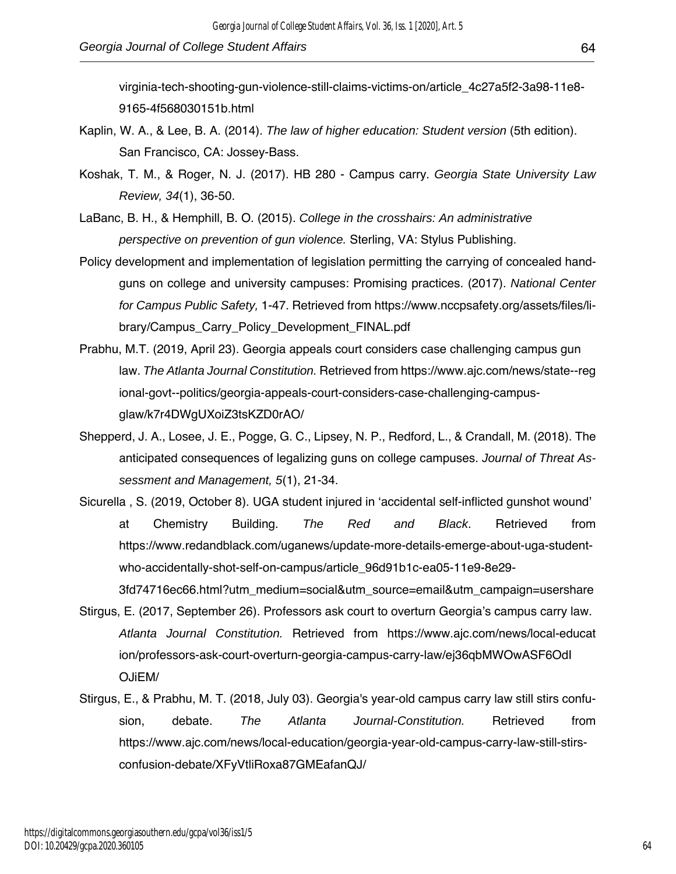virginia-tech-shooting-gun-violence-still-claims-victims-on/article\_4c27a5f2-3a98-11e8- 9165-4f568030151b.html

- Kaplin, W. A., & Lee, B. A. (2014). *The law of higher education: Student version* (5th edition). San Francisco, CA: Jossey-Bass.
- Koshak, T. M., & Roger, N. J. (2017). HB 280 Campus carry. *Georgia State University Law Review, 34*(1), 36-50.
- LaBanc, B. H., & Hemphill, B. O. (2015). *College in the crosshairs: An administrative perspective on prevention of gun violence.* Sterling, VA: Stylus Publishing.
- Policy development and implementation of legislation permitting the carrying of concealed handguns on college and university campuses: Promising practices. (2017). *National Center for Campus Public Safety,* 1-47. Retrieved from https://www.nccpsafety.org/assets/files/library/Campus\_Carry\_Policy\_Development\_FINAL.pdf
- Prabhu, M.T. (2019, April 23). Georgia appeals court considers case challenging campus gun law. *The Atlanta Journal Constitution.* Retrieved from https://www.ajc.com/news/state--reg ional-govt--politics/georgia-appeals-court-considers-case-challenging-campusglaw/k7r4DWgUXoiZ3tsKZD0rAO/
- Shepperd, J. A., Losee, J. E., Pogge, G. C., Lipsey, N. P., Redford, L., & Crandall, M. (2018). The anticipated consequences of legalizing guns on college campuses. *Journal of Threat Assessment and Management, 5*(1), 21-34.
- Sicurella , S. (2019, October 8). UGA student injured in 'accidental self-inflicted gunshot wound' at Chemistry Building. *The Red and Black*. Retrieved from https://www.redandblack.com/uganews/update-more-details-emerge-about-uga-studentwho-accidentally-shot-self-on-campus/article\_96d91b1c-ea05-11e9-8e29-

3fd74716ec66.html?utm\_medium=social&utm\_source=email&utm\_campaign=usershare Stirgus, E. (2017, September 26). Professors ask court to overturn Georgia's campus carry law.

- *Atlanta Journal Constitution.* Retrieved from https://www.ajc.com/news/local-educat ion/professors-ask-court-overturn-georgia-campus-carry-law/ej36qbMWOwASF6OdI OJiEM/
- Stirgus, E., & Prabhu, M. T. (2018, July 03). Georgia's year-old campus carry law still stirs confusion, debate. *The Atlanta Journal-Constitution.* Retrieved from https://www.ajc.com/news/local-education/georgia-year-old-campus-carry-law-still-stirsconfusion-debate/XFyVtliRoxa87GMEafanQJ/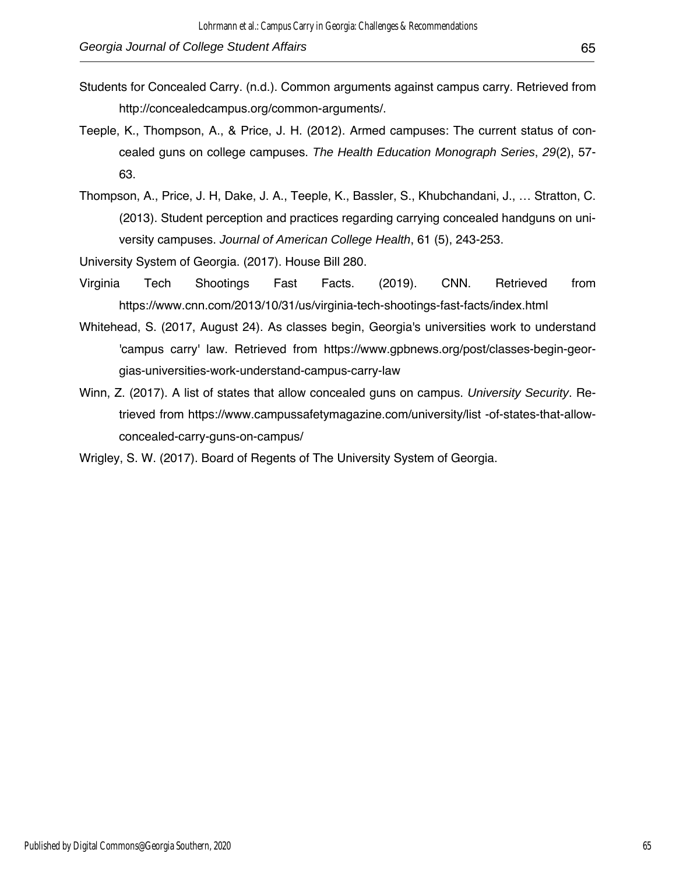- Students for Concealed Carry. (n.d.). Common arguments against campus carry. Retrieved from http://concealedcampus.org/common-arguments/.
- Teeple, K., Thompson, A., & Price, J. H. (2012). Armed campuses: The current status of concealed guns on college campuses. *The Health Education Monograph Series*, *29*(2), 57- 63.
- Thompson, A., Price, J. H, Dake, J. A., Teeple, K., Bassler, S., Khubchandani, J., … Stratton, C. (2013). Student perception and practices regarding carrying concealed handguns on university campuses. *Journal of American College Health*, 61 (5), 243-253.

University System of Georgia. (2017). House Bill 280.

- Virginia Tech Shootings Fast Facts. (2019). CNN. Retrieved from https://www.cnn.com/2013/10/31/us/virginia-tech-shootings-fast-facts/index.html
- Whitehead, S. (2017, August 24). As classes begin, Georgia's universities work to understand 'campus carry' law. Retrieved from https://www.gpbnews.org/post/classes-begin-georgias-universities-work-understand-campus-carry-law
- Winn, Z. (2017). A list of states that allow concealed guns on campus. *University Security*. Retrieved from https://www.campussafetymagazine.com/university/list -of-states-that-allowconcealed-carry-guns-on-campus/

Wrigley, S. W. (2017). Board of Regents of The University System of Georgia.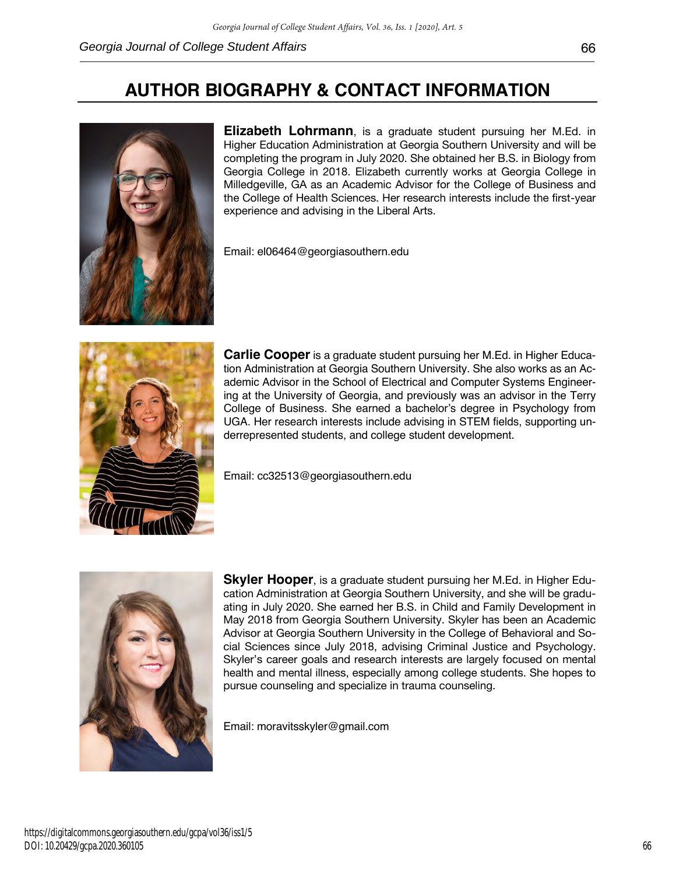

**Elizabeth Lohrmann**, is a graduate student pursuing her M.Ed. in Higher Education Administration at Georgia Southern University and will be completing the program in July 2020. She obtained her B.S. in Biology from Georgia College in 2018. Elizabeth currently works at Georgia College in Milledgeville, GA as an Academic Advisor for the College of Business and the College of Health Sciences. Her research interests include the first-year experience and advising in the Liberal Arts.

Email: el06464@georgiasouthern.edu



**Carlie Cooper** is a graduate student pursuing her M.Ed. in Higher Education Administration at Georgia Southern University. She also works as an Academic Advisor in the School of Electrical and Computer Systems Engineering at the University of Georgia, and previously was an advisor in the Terry College of Business. She earned a bachelor's degree in Psychology from UGA. Her research interests include advising in STEM fields, supporting underrepresented students, and college student development.

Email: cc32513@georgiasouthern.edu



**Skyler Hooper**, is a graduate student pursuing her M.Ed. in Higher Education Administration at Georgia Southern University, and she will be graduating in July 2020. She earned her B.S. in Child and Family Development in May 2018 from Georgia Southern University. Skyler has been an Academic Advisor at Georgia Southern University in the College of Behavioral and Social Sciences since July 2018, advising Criminal Justice and Psychology. Skyler's career goals and research interests are largely focused on mental health and mental illness, especially among college students. She hopes to pursue counseling and specialize in trauma counseling.

Email: moravitsskyler@gmail.com